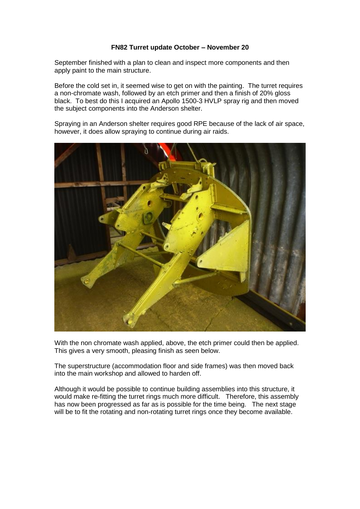## **FN82 Turret update October – November 20**

September finished with a plan to clean and inspect more components and then apply paint to the main structure.

Before the cold set in, it seemed wise to get on with the painting. The turret requires a non-chromate wash, followed by an etch primer and then a finish of 20% gloss black. To best do this I acquired an Apollo 1500-3 HVLP spray rig and then moved the subject components into the Anderson shelter.

Spraying in an Anderson shelter requires good RPE because of the lack of air space, however, it does allow spraying to continue during air raids.



With the non chromate wash applied, above, the etch primer could then be applied. This gives a very smooth, pleasing finish as seen below.

The superstructure (accommodation floor and side frames) was then moved back into the main workshop and allowed to harden off.

Although it would be possible to continue building assemblies into this structure, it would make re-fitting the turret rings much more difficult. Therefore, this assembly has now been progressed as far as is possible for the time being. The next stage will be to fit the rotating and non-rotating turret rings once they become available.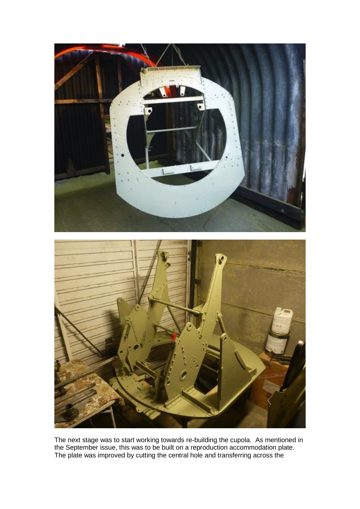

The next stage was to start working towards re-building the cupola. As mentioned in the September issue, this was to be built on a reproduction accommodation plate. The plate was improved by cutting the central hole and transferring across the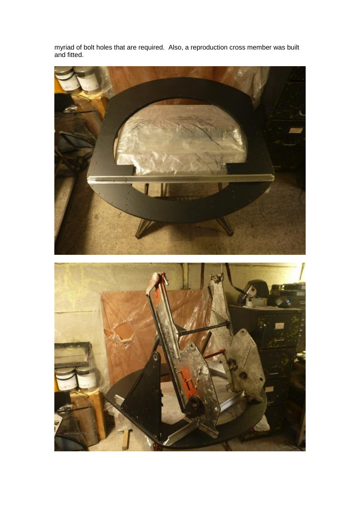myriad of bolt holes that are required. Also, a reproduction cross member was built and fitted.



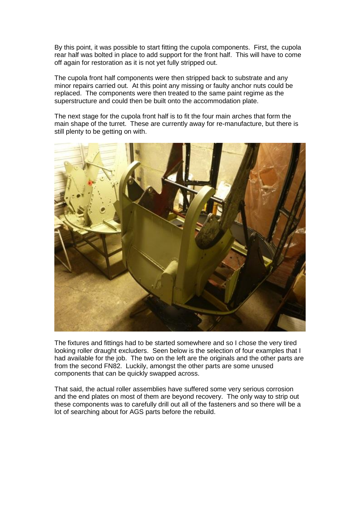By this point, it was possible to start fitting the cupola components. First, the cupola rear half was bolted in place to add support for the front half. This will have to come off again for restoration as it is not yet fully stripped out.

The cupola front half components were then stripped back to substrate and any minor repairs carried out. At this point any missing or faulty anchor nuts could be replaced. The components were then treated to the same paint regime as the superstructure and could then be built onto the accommodation plate.

The next stage for the cupola front half is to fit the four main arches that form the main shape of the turret. These are currently away for re-manufacture, but there is still plenty to be getting on with.



The fixtures and fittings had to be started somewhere and so I chose the very tired looking roller draught excluders. Seen below is the selection of four examples that I had available for the job. The two on the left are the originals and the other parts are from the second FN82. Luckily, amongst the other parts are some unused components that can be quickly swapped across.

That said, the actual roller assemblies have suffered some very serious corrosion and the end plates on most of them are beyond recovery. The only way to strip out these components was to carefully drill out all of the fasteners and so there will be a lot of searching about for AGS parts before the rebuild.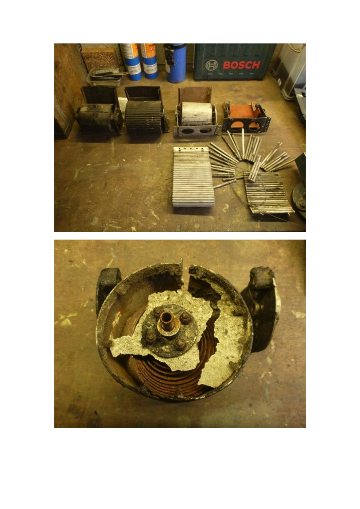